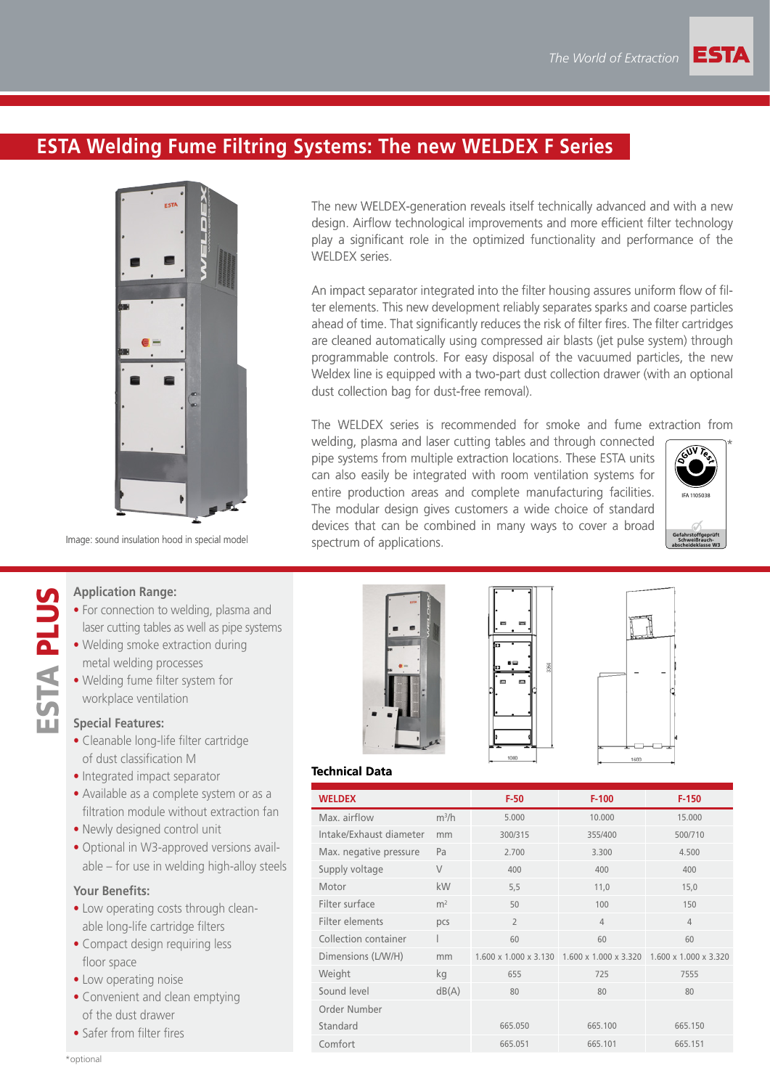# **ESTA Welding Fume Filtring Systems: The new WELDEX F Series**



Image: sound insulation hood in special model

The new WELDEX-generation reveals itself technically advanced and with a new design. Airflow technological improvements and more efficient filter technology play a significant role in the optimized functionality and performance of the WELDEX series

An impact separator integrated into the filter housing assures uniform flow of filter elements. This new development reliably separates sparks and coarse particles ahead of time. That significantly reduces the risk of filter fires. The filter cartridges are cleaned automatically using compressed air blasts (jet pulse system) through programmable controls. For easy disposal of the vacuumed particles, the new Weldex line is equipped with a two-part dust collection drawer (with an optional dust collection bag for dust-free removal).

The WELDEX series is recommended for smoke and fume extraction from

welding, plasma and laser cutting tables and through connected pipe systems from multiple extraction locations. These ESTA units can also easily be integrated with room ventilation systems for entire production areas and complete manufacturing facilities. The modular design gives customers a wide choice of standard devices that can be combined in many ways to cover a broad spectrum of applications.



#### **Application Range:**

- For connection to welding, plasma and laser cutting tables as well as pipe systems
- Welding smoke extraction during metal welding processes
- Welding fume filter system for workplace ventilation

### **Special Features:**

ESTA PLUS

**STA PLUS** 

- Cleanable long-life filter cartridge of dust classification M
- Integrated impact separator
- Available as a complete system or as a filtration module without extraction fan
- Newly designed control unit
- Optional in W3-approved versions available – for use in welding high-alloy steels

#### **Your Benefits:**

- Low operating costs through cleanable long-life cartridge filters
- Compact design requiring less floor space
- Low operating noise
- Convenient and clean emptying of the dust drawer
- Safer from filter fires







#### **Technical Data**

| <b>WELDEX</b>           |                | $F-50$         | $F-100$                                                 | $F-150$               |
|-------------------------|----------------|----------------|---------------------------------------------------------|-----------------------|
| Max. airflow            | $m^3/h$        | 5.000          | 10.000                                                  | 15.000                |
| Intake/Exhaust diameter | mm             | 300/315        | 355/400                                                 | 500/710               |
| Max. negative pressure  | Pa             | 2.700          | 3.300                                                   | 4.500                 |
| Supply voltage          | $\vee$         | 400            | 400                                                     | 400                   |
| Motor                   | kW             | 5,5            | 11,0                                                    | 15,0                  |
| Filter surface          | m <sup>2</sup> | 50             | 100                                                     | 150                   |
| Filter elements         | pcs            | $\overline{2}$ | $\overline{4}$                                          | $\overline{4}$        |
| Collection container    |                | 60             | 60                                                      | 60                    |
| Dimensions (L/W/H)      | mm             |                | $1.600 \times 1.000 \times 3.130$ 1.600 x 1.000 x 3.320 | 1.600 x 1.000 x 3.320 |
| Weight                  | kg             | 655            | 725                                                     | 7555                  |
| Sound level             | dB(A)          | 80             | 80                                                      | 80                    |
| Order Number            |                |                |                                                         |                       |
| Standard                |                | 665.050        | 665.100                                                 | 665.150               |
| Comfort                 |                | 665.051        | 665.101                                                 | 665.151               |